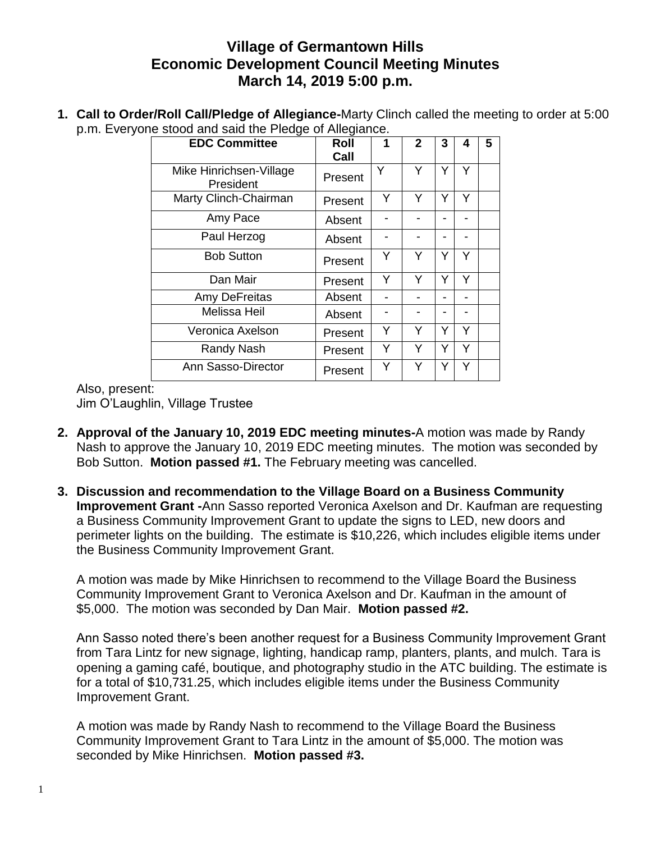## **Village of Germantown Hills Economic Development Council Meeting Minutes March 14, 2019 5:00 p.m.**

**1. Call to Order/Roll Call/Pledge of Allegiance-**Marty Clinch called the meeting to order at 5:00 p.m. Everyone stood and said the Pledge of Allegiance.

| <b>EDC Committee</b>                 | Roll<br>Call | 1 | $\mathbf{2}$ | 3 | 4 | 5 |
|--------------------------------------|--------------|---|--------------|---|---|---|
| Mike Hinrichsen-Village<br>President | Present      | Y | Υ            | Y | Y |   |
| Marty Clinch-Chairman                | Present      | Y | Υ            | Υ | Υ |   |
| Amy Pace                             | Absent       |   |              |   |   |   |
| Paul Herzog                          | Absent       |   |              |   |   |   |
| <b>Bob Sutton</b>                    | Present      | Υ | Y            | Y | Y |   |
| Dan Mair                             | Present      | Y | Y            | Υ | Y |   |
| Amy DeFreitas                        | Absent       |   |              |   |   |   |
| Melissa Heil                         | Absent       |   |              |   |   |   |
| Veronica Axelson                     | Present      | Y | Y            | Y | Y |   |
| Randy Nash                           | Present      | Y | Y            | Y | Y |   |
| Ann Sasso-Director                   | Present      | Y | Y            |   | Y |   |

Also, present: Jim O'Laughlin, Village Trustee

- **2. Approval of the January 10, 2019 EDC meeting minutes-**A motion was made by Randy Nash to approve the January 10, 2019 EDC meeting minutes. The motion was seconded by Bob Sutton. **Motion passed #1.** The February meeting was cancelled.
- **3. Discussion and recommendation to the Village Board on a Business Community Improvement Grant -**Ann Sasso reported Veronica Axelson and Dr. Kaufman are requesting a Business Community Improvement Grant to update the signs to LED, new doors and perimeter lights on the building. The estimate is \$10,226, which includes eligible items under the Business Community Improvement Grant.

A motion was made by Mike Hinrichsen to recommend to the Village Board the Business Community Improvement Grant to Veronica Axelson and Dr. Kaufman in the amount of \$5,000. The motion was seconded by Dan Mair. **Motion passed #2.**

Ann Sasso noted there's been another request for a Business Community Improvement Grant from Tara Lintz for new signage, lighting, handicap ramp, planters, plants, and mulch. Tara is opening a gaming café, boutique, and photography studio in the ATC building. The estimate is for a total of \$10,731.25, which includes eligible items under the Business Community Improvement Grant.

A motion was made by Randy Nash to recommend to the Village Board the Business Community Improvement Grant to Tara Lintz in the amount of \$5,000. The motion was seconded by Mike Hinrichsen. **Motion passed #3.**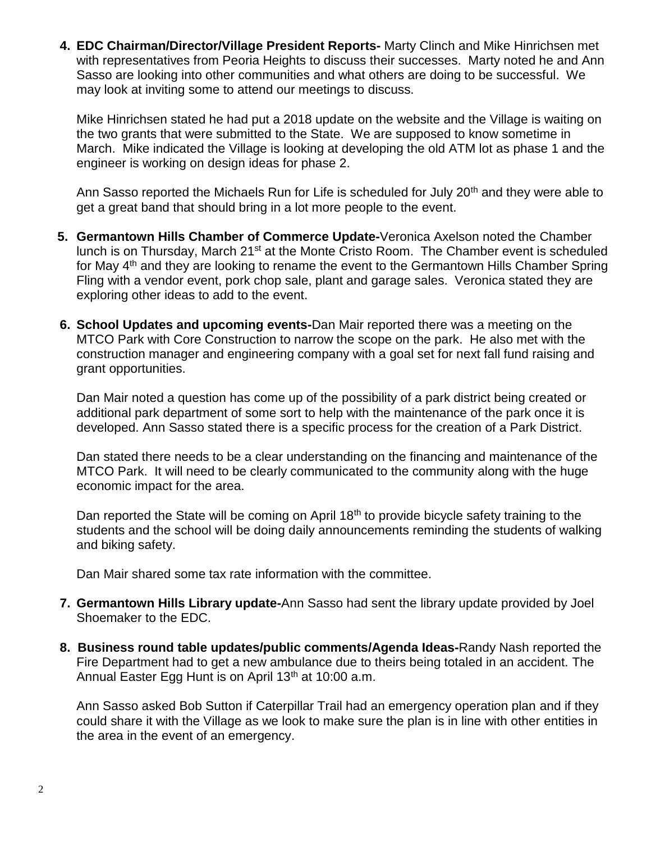**4. EDC Chairman/Director/Village President Reports-** Marty Clinch and Mike Hinrichsen met with representatives from Peoria Heights to discuss their successes. Marty noted he and Ann Sasso are looking into other communities and what others are doing to be successful. We may look at inviting some to attend our meetings to discuss.

Mike Hinrichsen stated he had put a 2018 update on the website and the Village is waiting on the two grants that were submitted to the State. We are supposed to know sometime in March. Mike indicated the Village is looking at developing the old ATM lot as phase 1 and the engineer is working on design ideas for phase 2.

Ann Sasso reported the Michaels Run for Life is scheduled for July 20<sup>th</sup> and they were able to get a great band that should bring in a lot more people to the event.

- **5. Germantown Hills Chamber of Commerce Update-**Veronica Axelson noted the Chamber lunch is on Thursday, March 21<sup>st</sup> at the Monte Cristo Room. The Chamber event is scheduled for May 4th and they are looking to rename the event to the Germantown Hills Chamber Spring Fling with a vendor event, pork chop sale, plant and garage sales. Veronica stated they are exploring other ideas to add to the event.
- **6. School Updates and upcoming events-**Dan Mair reported there was a meeting on the MTCO Park with Core Construction to narrow the scope on the park. He also met with the construction manager and engineering company with a goal set for next fall fund raising and grant opportunities.

Dan Mair noted a question has come up of the possibility of a park district being created or additional park department of some sort to help with the maintenance of the park once it is developed. Ann Sasso stated there is a specific process for the creation of a Park District.

Dan stated there needs to be a clear understanding on the financing and maintenance of the MTCO Park. It will need to be clearly communicated to the community along with the huge economic impact for the area.

Dan reported the State will be coming on April 18<sup>th</sup> to provide bicycle safety training to the students and the school will be doing daily announcements reminding the students of walking and biking safety.

Dan Mair shared some tax rate information with the committee.

- **7. Germantown Hills Library update-**Ann Sasso had sent the library update provided by Joel Shoemaker to the EDC.
- **8. Business round table updates/public comments/Agenda Ideas-**Randy Nash reported the Fire Department had to get a new ambulance due to theirs being totaled in an accident. The Annual Easter Egg Hunt is on April  $13<sup>th</sup>$  at 10:00 a.m.

Ann Sasso asked Bob Sutton if Caterpillar Trail had an emergency operation plan and if they could share it with the Village as we look to make sure the plan is in line with other entities in the area in the event of an emergency.